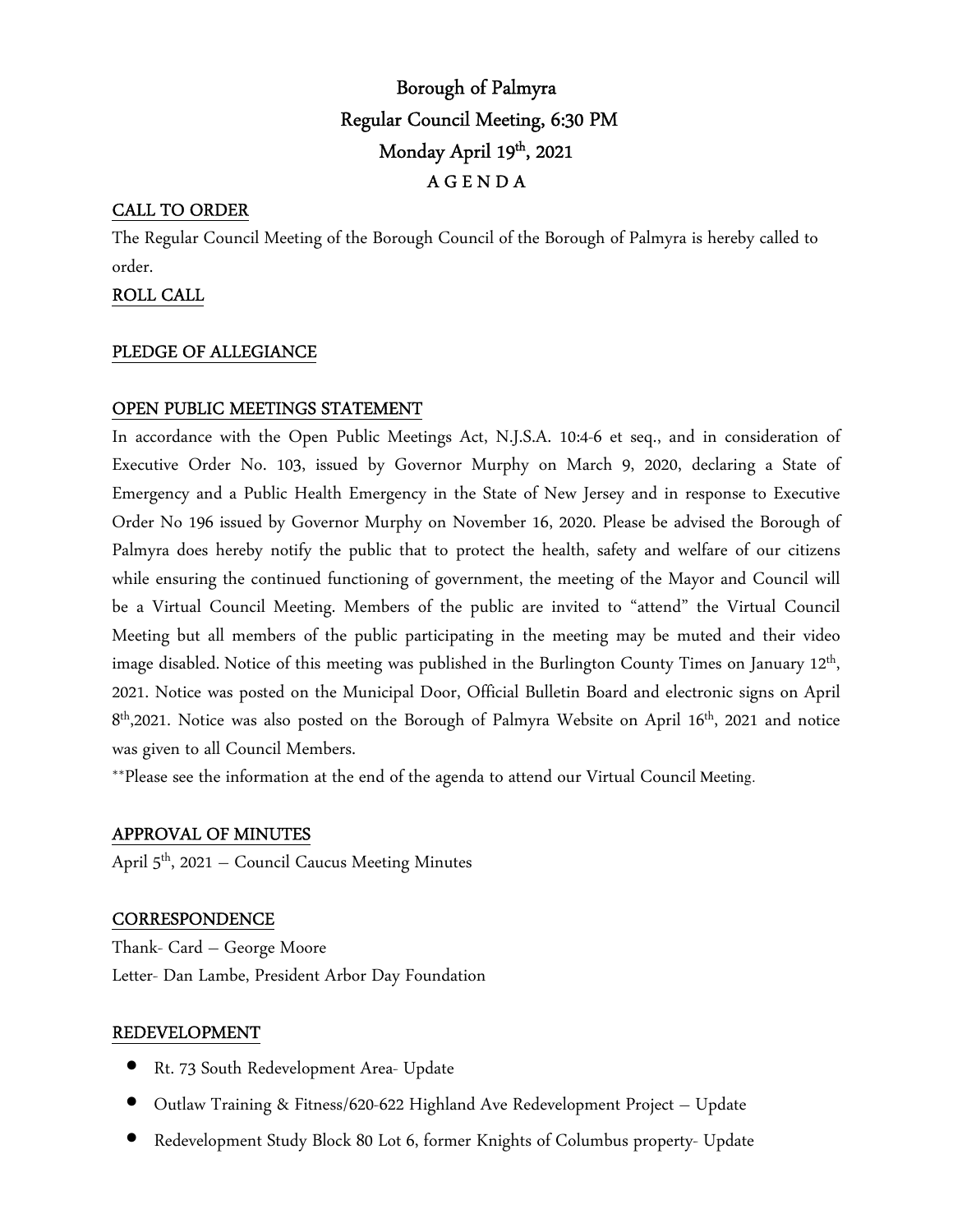# Borough of Palmyra Regular Council Meeting, 6:30 PM Monday April 19th, 2021 A G E N D A

# CALL TO ORDER

The Regular Council Meeting of the Borough Council of the Borough of Palmyra is hereby called to order.

# ROLL CALL

## PLEDGE OF ALLEGIANCE

# OPEN PUBLIC MEETINGS STATEMENT

In accordance with the Open Public Meetings Act, N.J.S.A. 10:4-6 et seq., and in consideration of Executive Order No. 103, issued by Governor Murphy on March 9, 2020, declaring a State of Emergency and a Public Health Emergency in the State of New Jersey and in response to Executive Order No 196 issued by Governor Murphy on November 16, 2020. Please be advised the Borough of Palmyra does hereby notify the public that to protect the health, safety and welfare of our citizens while ensuring the continued functioning of government, the meeting of the Mayor and Council will be a Virtual Council Meeting. Members of the public are invited to "attend" the Virtual Council Meeting but all members of the public participating in the meeting may be muted and their video image disabled. Notice of this meeting was published in the Burlington County Times on January 12<sup>th</sup>, 2021. Notice was posted on the Municipal Door, Official Bulletin Board and electronic signs on April 8 th,2021. Notice was also posted on the Borough of Palmyra Website on April 16th, 2021 and notice was given to all Council Members.

\*\*Please see the information at the end of the agenda to attend our Virtual Council Meeting.

## APPROVAL OF MINUTES

April 5<sup>th</sup>, 2021 – Council Caucus Meeting Minutes

## **CORRESPONDENCE**

Thank- Card – George Moore Letter- Dan Lambe, President Arbor Day Foundation

## REDEVELOPMENT

- Rt. 73 South Redevelopment Area- Update
- Outlaw Training & Fitness/620-622 Highland Ave Redevelopment Project Update
- Redevelopment Study Block 80 Lot 6, former Knights of Columbus property- Update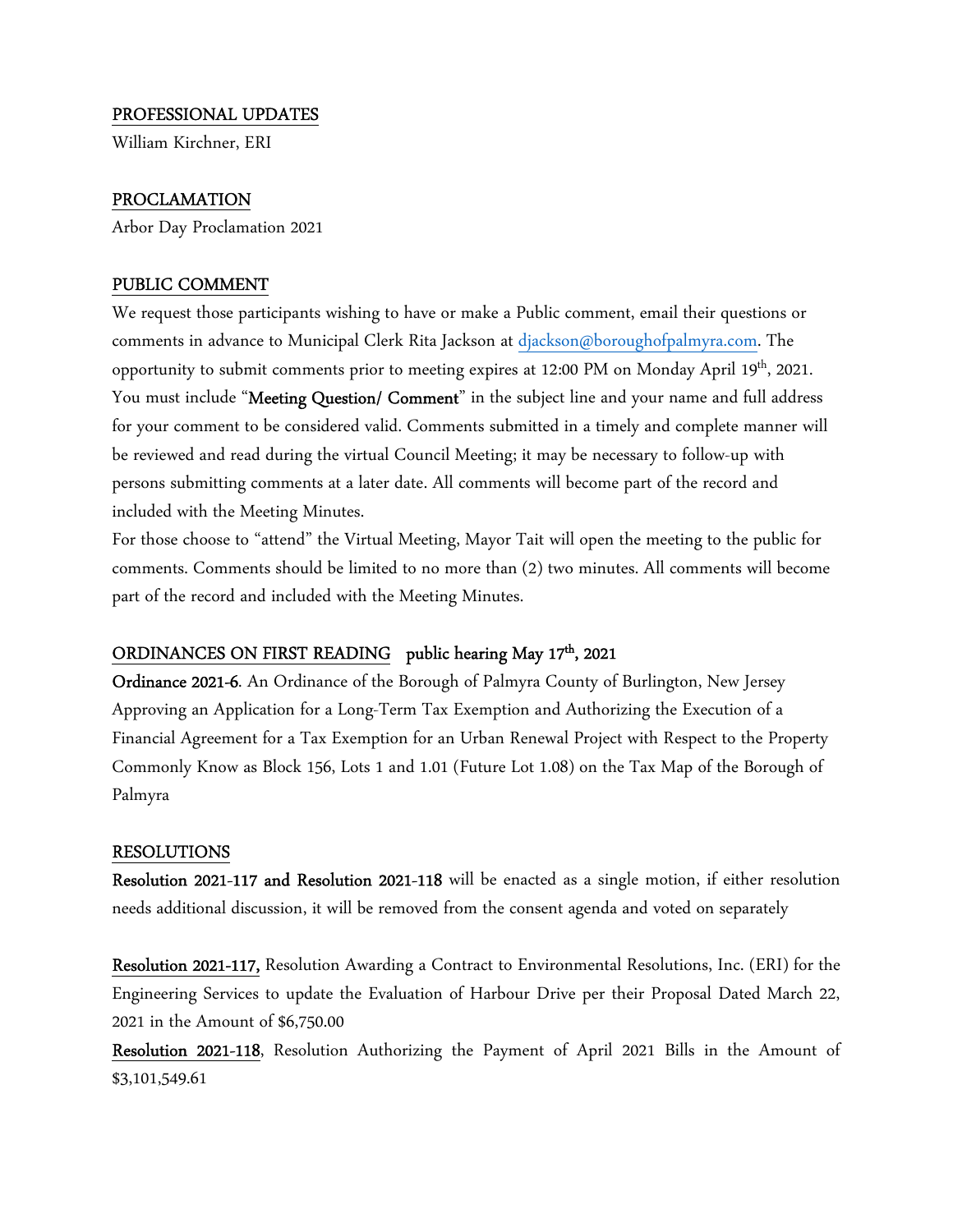### PROFESSIONAL UPDATES

William Kirchner, ERI

#### PROCLAMATION

Arbor Day Proclamation 2021

#### PUBLIC COMMENT

We request those participants wishing to have or make a Public comment, email their questions or comments in advance to Municipal Clerk Rita Jackson at djackson@boroughofpalmyra.com. The opportunity to submit comments prior to meeting expires at 12:00 PM on Monday April 19th, 2021. You must include "**Meeting Question/ Comment**" in the subject line and your name and full address for your comment to be considered valid. Comments submitted in a timely and complete manner will be reviewed and read during the virtual Council Meeting; it may be necessary to follow-up with persons submitting comments at a later date. All comments will become part of the record and included with the Meeting Minutes.

For those choose to "attend" the Virtual Meeting, Mayor Tait will open the meeting to the public for comments. Comments should be limited to no more than (2) two minutes. All comments will become part of the record and included with the Meeting Minutes.

#### ORDINANCES ON FIRST READING public hearing May 17<sup>th</sup>, 2021

Ordinance 2021-6. An Ordinance of the Borough of Palmyra County of Burlington, New Jersey Approving an Application for a Long-Term Tax Exemption and Authorizing the Execution of a Financial Agreement for a Tax Exemption for an Urban Renewal Project with Respect to the Property Commonly Know as Block 156, Lots 1 and 1.01 (Future Lot 1.08) on the Tax Map of the Borough of Palmyra

#### RESOLUTIONS

Resolution 2021-117 and Resolution 2021-118 will be enacted as a single motion, if either resolution needs additional discussion, it will be removed from the consent agenda and voted on separately

Resolution 2021-117, Resolution Awarding a Contract to Environmental Resolutions, Inc. (ERI) for the Engineering Services to update the Evaluation of Harbour Drive per their Proposal Dated March 22, 2021 in the Amount of \$6,750.00

Resolution 2021-118, Resolution Authorizing the Payment of April 2021 Bills in the Amount of \$3,101,549.61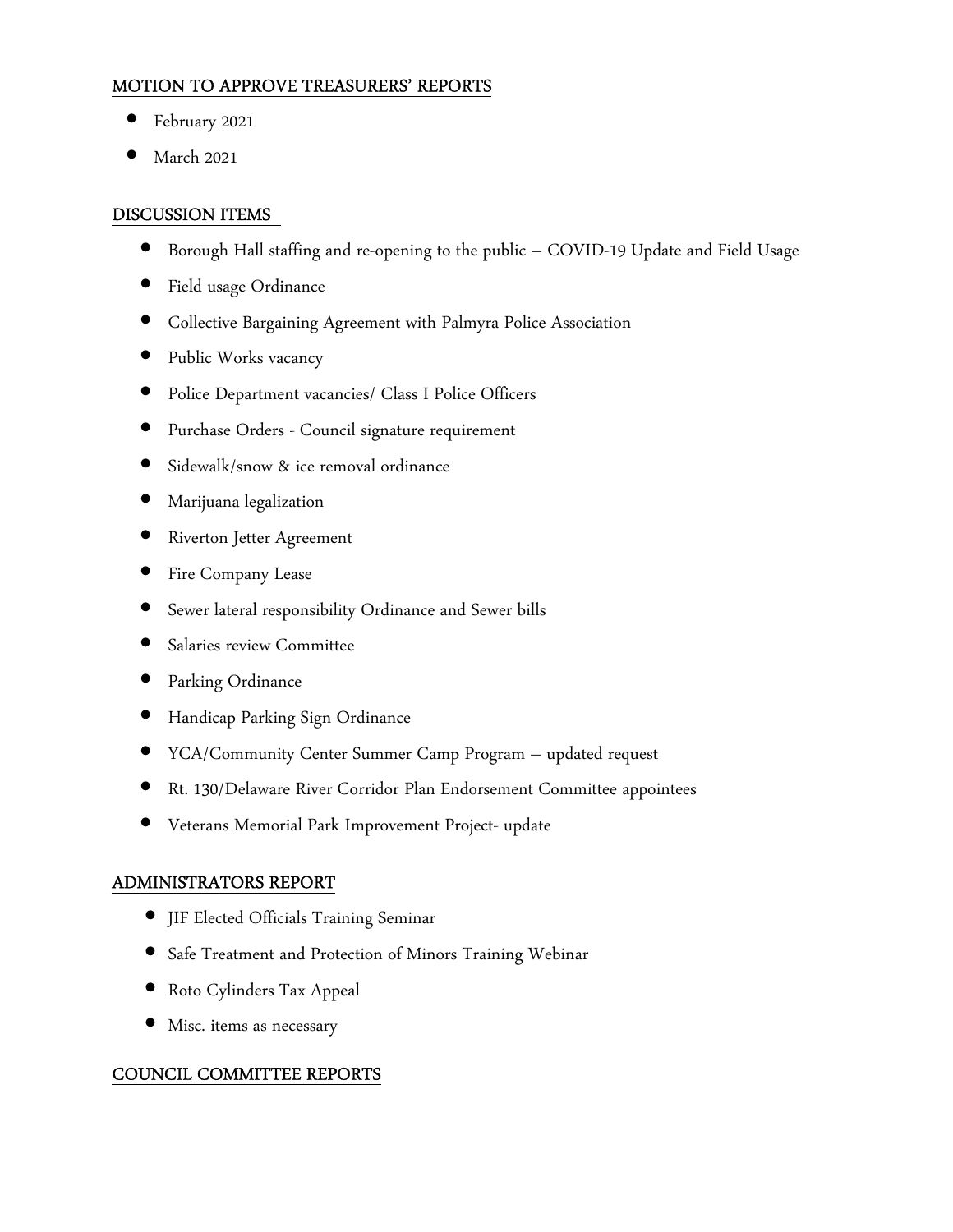# MOTION TO APPROVE TREASURERS' REPORTS

- February 2021
- March 2021

# DISCUSSION ITEMS

- Borough Hall staffing and re-opening to the public COVID-19 Update and Field Usage
- Field usage Ordinance
- Collective Bargaining Agreement with Palmyra Police Association
- Public Works vacancy
- Police Department vacancies/ Class I Police Officers
- Purchase Orders Council signature requirement
- Sidewalk/snow & ice removal ordinance
- Marijuana legalization
- Riverton Jetter Agreement
- Fire Company Lease
- Sewer lateral responsibility Ordinance and Sewer bills
- Salaries review Committee
- Parking Ordinance
- Handicap Parking Sign Ordinance
- YCA/Community Center Summer Camp Program updated request
- Rt. 130/Delaware River Corridor Plan Endorsement Committee appointees
- Veterans Memorial Park Improvement Project- update

# ADMINISTRATORS REPORT

- JIF Elected Officials Training Seminar
- Safe Treatment and Protection of Minors Training Webinar
- Roto Cylinders Tax Appeal
- Misc. items as necessary

# COUNCIL COMMITTEE REPORTS